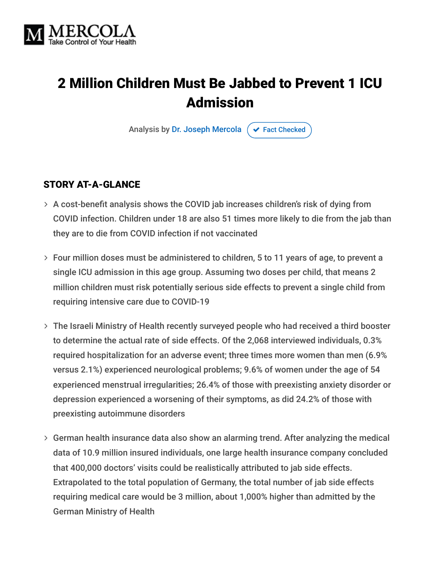

# 2 Million Children Must Be Jabbed to Prevent 1 ICU Admission

Analysis by [Dr. Joseph Mercola](https://www.mercola.com/forms/background.htm)  $\sigma$  [Fact Checked](javascript:void(0))

#### STORY AT-A-GLANCE

- A cost-benefit analysis shows the COVID jab increases children's risk of dying from COVID infection. Children under 18 are also 51 times more likely to die from the jab than they are to die from COVID infection if not vaccinated
- Four million doses must be administered to children, 5 to 11 years of age, to prevent a single ICU admission in this age group. Assuming two doses per child, that means 2 million children must risk potentially serious side effects to prevent a single child from requiring intensive care due to COVID-19
- The Israeli Ministry of Health recently surveyed people who had received a third booster to determine the actual rate of side effects. Of the 2,068 interviewed individuals, 0.3% required hospitalization for an adverse event; three times more women than men (6.9% versus 2.1%) experienced neurological problems; 9.6% of women under the age of 54 experienced menstrual irregularities; 26.4% of those with preexisting anxiety disorder or depression experienced a worsening of their symptoms, as did 24.2% of those with preexisting autoimmune disorders
- German health insurance data also show an alarming trend. After analyzing the medical data of 10.9 million insured individuals, one large health insurance company concluded that 400,000 doctors' visits could be realistically attributed to jab side effects. Extrapolated to the total population of Germany, the total number of jab side effects requiring medical care would be 3 million, about 1,000% higher than admitted by the German Ministry of Health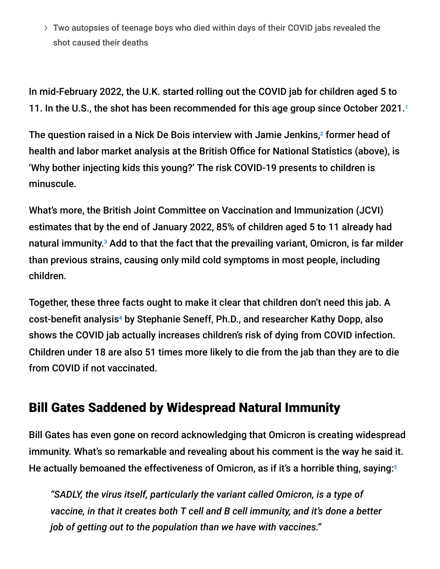Two autopsies of teenage boys who died within days of their COVID jabs revealed the shot caused their deaths

In mid-February 2022, the U.K. started rolling out the COVID jab for children aged 5 to 11. In the U.S., the shot has been recommended for this age group since October 2021. 1

The question raised in a Nick De Bois interview with Jamie Jenkins,<sup>2</sup> former head of health and labor market analysis at the British Office for National Statistics (above), is 'Why bother injecting kids this young?' The risk COVID-19 presents to children is minuscule.

What's more, the British Joint Committee on Vaccination and Immunization (JCVI) estimates that by the end of January 2022, 85% of children aged 5 to 11 already had natural immunity.<sup>3</sup> Add to that the fact that the prevailing variant, Omicron, is far milder than previous strains, causing only mild cold symptoms in most people, including children.

Together, these three facts ought to make it clear that children don't need this jab. A cost-benefit analysis<sup>4</sup> by Stephanie Seneff, Ph.D., and researcher Kathy Dopp, also shows the COVID jab actually increases children's risk of dying from COVID infection. Children under 18 are also 51 times more likely to die from the jab than they are to die from COVID if not vaccinated.

#### Bill Gates Saddened by Widespread Natural Immunity

Bill Gates has even gone on record acknowledging that Omicron is creating widespread immunity. What's so remarkable and revealing about his comment is the way he said it. He actually bemoaned the effectiveness of Omicron, as if it's a horrible thing, saying:<sup>5</sup>

*"SADLY, the virus itself, particularly the variant called Omicron, is a type of vaccine, in that it creates both T cell and B cell immunity, and it's done a better job of getting out to the population than we have with vaccines."*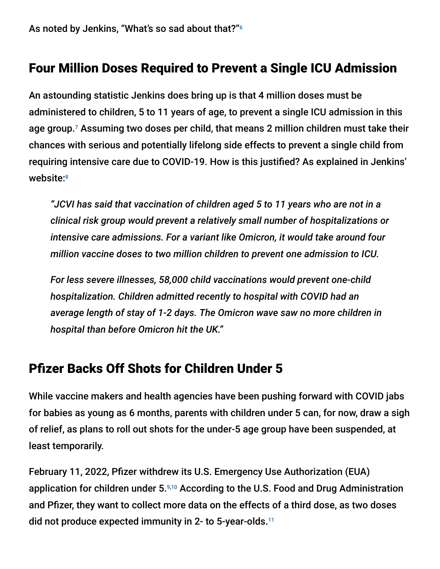### Four Million Doses Required to Prevent a Single ICU Admission

An astounding statistic Jenkins does bring up is that 4 million doses must be administered to children, 5 to 11 years of age, to prevent a single ICU admission in this age group. $\mathrm{7}$  Assuming two doses per child, that means 2 million children must take their chances with serious and potentially lifelong side effects to prevent a single child from requiring intensive care due to COVID-19. How is this justified? As explained in Jenkins' website: 8

*"JCVI has said that vaccination of children aged 5 to 11 years who are not in a clinical risk group would prevent a relatively small number of hospitalizations or intensive care admissions. For a variant like Omicron, it would take around four million vaccine doses to two million children to prevent one admission to ICU.*

*For less severe illnesses, 58,000 child vaccinations would prevent one-child hospitalization. Children admitted recently to hospital with COVID had an average length of stay of 1-2 days. The Omicron wave saw no more children in hospital than before Omicron hit the UK."*

## Pfizer Backs Off Shots for Children Under 5

While vaccine makers and health agencies have been pushing forward with COVID jabs for babies as young as 6 months, parents with children under 5 can, for now, draw a sigh of relief, as plans to roll out shots for the under-5 age group have been suspended, at least temporarily.

February 11, 2022, Pfizer withdrew its U.S. Emergency Use Authorization (EUA) application for children under 5.<sup>9,10</sup> According to the U.S. Food and Drug Administration and Pfizer, they want to collect more data on the effects of a third dose, as two doses did not produce expected immunity in 2- to 5-year-olds. 11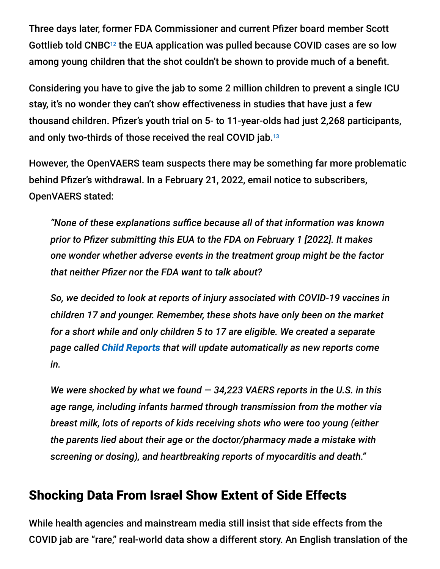Three days later, former FDA Commissioner and current Pfizer board member Scott Gottlieb told CNBC $12$  the EUA application was pulled because COVID cases are so low among young children that the shot couldn't be shown to provide much of a benefit.

Considering you have to give the jab to some 2 million children to prevent a single ICU stay, it's no wonder they can't show effectiveness in studies that have just a few thousand children. Pfizer's youth trial on 5- to 11-year-olds had just 2,268 participants, and only two-thirds of those received the real COVID jab. 13

However, the OpenVAERS team suspects there may be something far more problematic behind Pfizer's withdrawal. In a February 21, 2022, email notice to subscribers, OpenVAERS stated:

*"None of these explanations suffice because all of that information was known prior to Pfizer submitting this EUA to the FDA on February 1 [2022]. It makes one wonder whether adverse events in the treatment group might be the factor that neither Pfizer nor the FDA want to talk about?*

*So, we decided to look at reports of injury associated with COVID-19 vaccines in children 17 and younger. Remember, these shots have only been on the market for a short while and only children 5 to 17 are eligible. We created a separate page called [Child Reports](https://openvaers.com/covid-data/child-reports) that will update automatically as new reports come in.*

*We were shocked by what we found — 34,223 VAERS reports in the U.S. in this age range, including infants harmed through transmission from the mother via breast milk, lots of reports of kids receiving shots who were too young (either the parents lied about their age or the doctor/pharmacy made a mistake with screening or dosing), and heartbreaking reports of myocarditis and death."*

#### Shocking Data From Israel Show Extent of Side Effects

While health agencies and mainstream media still insist that side effects from the COVID jab are "rare," real-world data show a different story. An English translation of the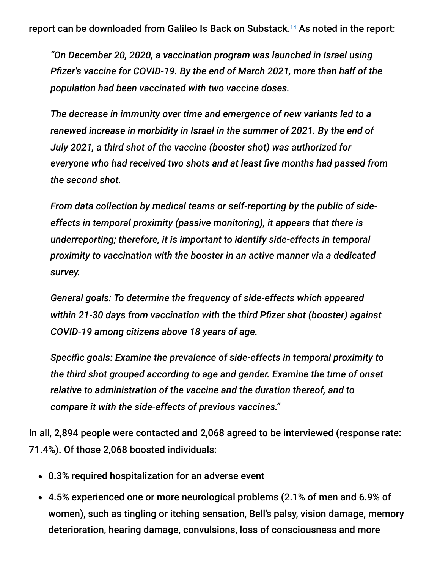*"On December 20, 2020, a vaccination program was launched in Israel using Pfizer's vaccine for COVID-19. By the end of March 2021, more than half of the population had been vaccinated with two vaccine doses.*

*The decrease in immunity over time and emergence of new variants led to a renewed increase in morbidity in Israel in the summer of 2021. By the end of July 2021, a third shot of the vaccine (booster shot) was authorized for everyone who had received two shots and at least five months had passed from the second shot.*

*From data collection by medical teams or self-reporting by the public of sideeffects in temporal proximity (passive monitoring), it appears that there is underreporting; therefore, it is important to identify side-effects in temporal proximity to vaccination with the booster in an active manner via a dedicated survey.*

*General goals: To determine the frequency of side-effects which appeared within 21-30 days from vaccination with the third Pfizer shot (booster) against COVID-19 among citizens above 18 years of age.*

*Specific goals: Examine the prevalence of side-effects in temporal proximity to the third shot grouped according to age and gender. Examine the time of onset relative to administration of the vaccine and the duration thereof, and to compare it with the side-effects of previous vaccines."*

In all, 2,894 people were contacted and 2,068 agreed to be interviewed (response rate: 71.4%). Of those 2,068 boosted individuals:

- 0.3% required hospitalization for an adverse event
- 4.5% experienced one or more neurological problems (2.1% of men and 6.9% of women), such as tingling or itching sensation, Bell's palsy, vision damage, memory deterioration, hearing damage, convulsions, loss of consciousness and more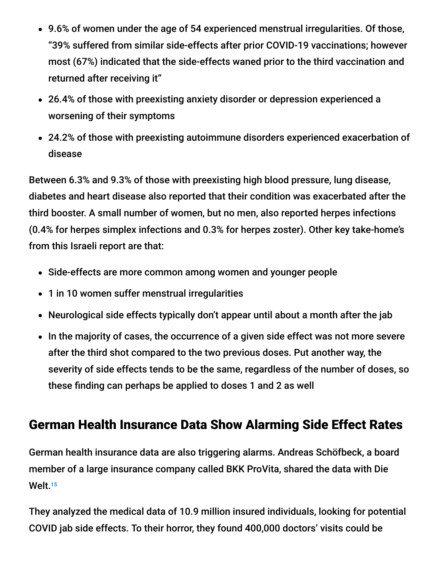- 9.6% of women under the age of 54 experienced menstrual irregularities. Of those, "39% suffered from similar side-effects after prior COVID-19 vaccinations; however most (67%) indicated that the side-effects waned prior to the third vaccination and returned after receiving it"
- 26.4% of those with preexisting anxiety disorder or depression experienced a worsening of their symptoms
- 24.2% of those with preexisting autoimmune disorders experienced exacerbation of disease

Between 6.3% and 9.3% of those with preexisting high blood pressure, lung disease, diabetes and heart disease also reported that their condition was exacerbated after the third booster. A small number of women, but no men, also reported herpes infections (0.4% for herpes simplex infections and 0.3% for herpes zoster). Other key take-home's from this Israeli report are that:

- Side-effects are more common among women and younger people
- 1 in 10 women suffer menstrual irregularities
- Neurological side effects typically don't appear until about a month after the jab
- In the majority of cases, the occurrence of a given side effect was not more severe after the third shot compared to the two previous doses. Put another way, the severity of side effects tends to be the same, regardless of the number of doses, so these finding can perhaps be applied to doses 1 and 2 as well

#### German Health Insurance Data Show Alarming Side Effect Rates

German health insurance data are also triggering alarms. Andreas Schöfbeck, a board member of a large insurance company called BKK ProVita, shared the data with Die Welt. 15

They analyzed the medical data of 10.9 million insured individuals, looking for potential COVID jab side effects. To their horror, they found 400,000 doctors' visits could be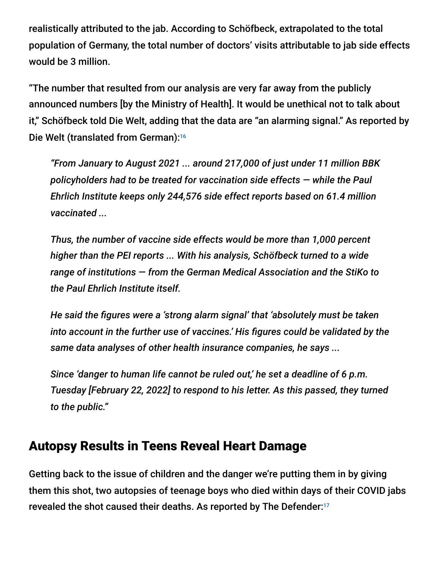realistically attributed to the jab. According to Schöfbeck, extrapolated to the total population of Germany, the total number of doctors' visits attributable to jab side effects would be 3 million.

"The number that resulted from our analysis are very far away from the publicly announced numbers [by the Ministry of Health]. It would be unethical not to talk about it," Schöfbeck told Die Welt, adding that the data are "an alarming signal." As reported by Die Welt (translated from German): 16

*"From January to August 2021 ... around 217,000 of just under 11 million BBK policyholders had to be treated for vaccination side effects — while the Paul Ehrlich Institute keeps only 244,576 side effect reports based on 61.4 million vaccinated ...*

*Thus, the number of vaccine side effects would be more than 1,000 percent higher than the PEI reports ... With his analysis, Schöfbeck turned to a wide range of institutions — from the German Medical Association and the StiKo to the Paul Ehrlich Institute itself.*

*He said the figures were a 'strong alarm signal' that 'absolutely must be taken into account in the further use of vaccines.' His figures could be validated by the same data analyses of other health insurance companies, he says ...*

*Since 'danger to human life cannot be ruled out,' he set a deadline of 6 p.m. Tuesday [February 22, 2022] to respond to his letter. As this passed, they turned to the public."*

#### Autopsy Results in Teens Reveal Heart Damage

Getting back to the issue of children and the danger we're putting them in by giving them this shot, two autopsies of teenage boys who died within days of their COVID jabs revealed the shot caused their deaths. As reported by The Defender: 17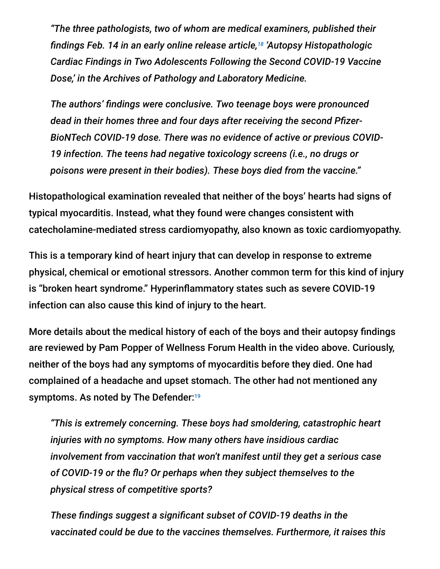*"The three pathologists, two of whom are medical examiners, published their findings Feb. 14 in an early online release article, 'Autopsy Histopathologic 18 Cardiac Findings in Two Adolescents Following the Second COVID-19 Vaccine Dose,' in the Archives of Pathology and Laboratory Medicine.*

*The authors' findings were conclusive. Two teenage boys were pronounced dead in their homes three and four days after receiving the second Pfizer-BioNTech COVID-19 dose. There was no evidence of active or previous COVID-19 infection. The teens had negative toxicology screens (i.e., no drugs or poisons were present in their bodies). These boys died from the vaccine."*

Histopathological examination revealed that neither of the boys' hearts had signs of typical myocarditis. Instead, what they found were changes consistent with catecholamine-mediated stress cardiomyopathy, also known as toxic cardiomyopathy.

This is a temporary kind of heart injury that can develop in response to extreme physical, chemical or emotional stressors. Another common term for this kind of injury is "broken heart syndrome." Hyperinflammatory states such as severe COVID-19 infection can also cause this kind of injury to the heart.

More details about the medical history of each of the boys and their autopsy findings are reviewed by Pam Popper of Wellness Forum Health in the video above. Curiously, neither of the boys had any symptoms of myocarditis before they died. One had complained of a headache and upset stomach. The other had not mentioned any symptoms. As noted by The Defender: 19

*"This is extremely concerning. These boys had smoldering, catastrophic heart injuries with no symptoms. How many others have insidious cardiac involvement from vaccination that won't manifest until they get a serious case of COVID-19 or the flu? Or perhaps when they subject themselves to the physical stress of competitive sports?*

*These findings suggest a significant subset of COVID-19 deaths in the vaccinated could be due to the vaccines themselves. Furthermore, it raises this*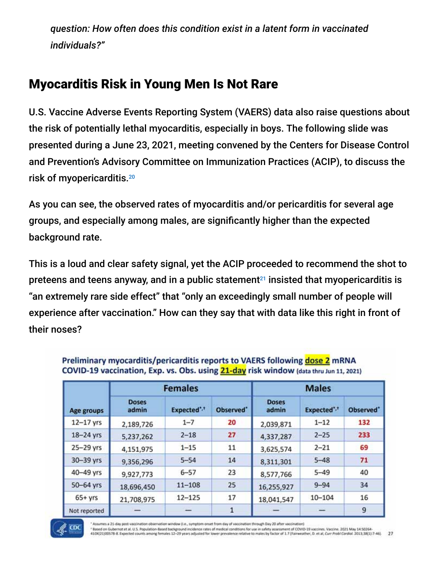*question: How often does this condition exist in a latent form in vaccinated individuals?"*

## Myocarditis Risk in Young Men Is Not Rare

U.S. Vaccine Adverse Events Reporting System (VAERS) data also raise questions about the risk of potentially lethal myocarditis, especially in boys. The following slide was presented during a June 23, 2021, meeting convened by the Centers for Disease Control and Prevention's Advisory Committee on Immunization Practices (ACIP), to discuss the risk of myopericarditis. 20

As you can see, the observed rates of myocarditis and/or pericarditis for several age groups, and especially among males, are significantly higher than the expected background rate.

This is a loud and clear safety signal, yet the ACIP proceeded to recommend the shot to preteens and teens anyway, and in a public statement $^{21}$  insisted that myopericarditis is "an extremely rare side effect" that "only an exceedingly small number of people will experience after vaccination." How can they say that with data like this right in front of their noses?

| <b>Age groups</b> | <b>Females</b>        |             |                       | <b>Males</b>          |                         |                       |
|-------------------|-----------------------|-------------|-----------------------|-----------------------|-------------------------|-----------------------|
|                   | <b>Doses</b><br>admin | Expected*/* | Observed <sup>*</sup> | <b>Doses</b><br>admin | Expected" <sup>,+</sup> | Observed <sup>*</sup> |
| $12-17$ yrs       | 2,189,726             | $1 - 7$     | 20                    | 2,039,871             | $1 - 12$                | 132                   |
| 18-24 yrs         | 5,237,262             | $2 - 18$    | 27                    | 4,337,287             | $2 - 25$                | 233                   |
| 25-29 yrs         | 4,151,975             | $1 - 15$    | 11                    | 3,625,574             | $2 - 21$                | 69                    |
| 30-39 yrs         | 9,356,296             | $5 - 54$    | 14                    | 8,311,301             | $5 - 48$                | 71                    |
| 40-49 yrs         | 9,927,773             | $6 - 57$    | 23                    | 8,577,766             | $5 - 49$                | 40                    |
| 50-64 yrs         | 18,696,450            | $11 - 108$  | 25                    | 16,255,927            | $9 - 94$                | 34                    |
| $65+yrs$          | 21,708,975            | $12 - 125$  | 17                    | 18,041,547            | $10 - 104$              | 16                    |
| Not reported      |                       |             |                       |                       |                         | 9                     |

Preliminary myocarditis/pericarditis reports to VAERS following dose 2 mRNA COVID-19 vaccination, Exp. vs. Obs. using 21-day risk window (data thru Jun 11, 2021)



Assumes a 21-day post-vaccination observation window (i.e., symptom onset from day of vaccination through Day 20 after vaccination)

8ased on Gubernot et al. U.S. Population-Based background incidence rates of medical conditions for use in safety assessment of COVID-19 vaccines. Vaccine. 2021 May 14:50264-<br>410X(21)00578-8. Expected counts among females